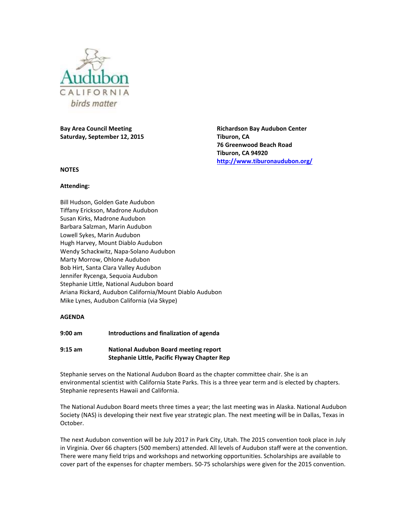

**Bay Area Council Meeting Saturday, September 12, 2015**

### **NOTES**

#### **Attending:**

Bill Hudson, Golden Gate Audubon Tiffany Erickson, Madrone Audubon Susan Kirks, Madrone Audubon Barbara Salzman, Marin Audubon Lowell Sykes, Marin Audubon Hugh Harvey, Mount Diablo Audubon Wendy Schackwitz, Napa-Solano Audubon Marty Morrow, Ohlone Audubon Bob Hirt, Santa Clara Valley Audubon Jennifer Rycenga, Sequoia Audubon Stephanie Little, National Audubon board Ariana Rickard, Audubon California/Mount Diablo Audubon Mike Lynes, Audubon California (via Skype)

### **AGENDA**

**9:00 am Introductions and finalization of agenda**

## **9:15 am National Audubon Board meeting report Stephanie Little, Pacific Flyway Chapter Rep**

Stephanie serves on the National Audubon Board as the chapter committee chair. She is an environmental scientist with California State Parks. This is a three year term and is elected by chapters. Stephanie represents Hawaii and California.

The National Audubon Board meets three times a year; the last meeting was in Alaska. National Audubon Society (NAS) is developing their next five year strategic plan. The next meeting will be in Dallas, Texas in October.

The next Audubon convention will be July 2017 in Park City, Utah. The 2015 convention took place in July in Virginia. Over 66 chapters (500 members) attended. All levels of Audubon staff were at the convention. There were many field trips and workshops and networking opportunities. Scholarships are available to cover part of the expenses for chapter members. 50-75 scholarships were given for the 2015 convention.

**Richardson Bay Audubon Center Tiburon, CA 76 Greenwood Beach Road Tiburon, CA 94920 <http://www.tiburonaudubon.org/>**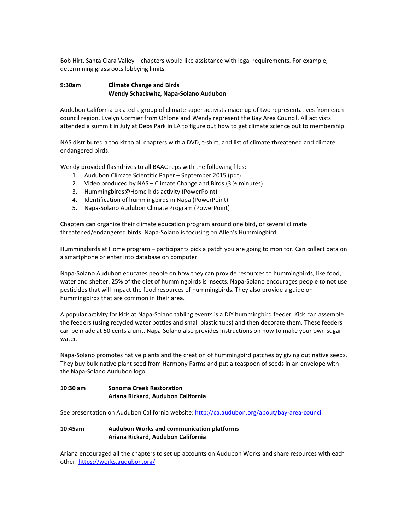Bob Hirt, Santa Clara Valley – chapters would like assistance with legal requirements. For example, determining grassroots lobbying limits.

# **9:30am Climate Change and Birds Wendy Schackwitz, Napa-Solano Audubon**

Audubon California created a group of climate super activists made up of two representatives from each council region. Evelyn Cormier from Ohlone and Wendy represent the Bay Area Council. All activists attended a summit in July at Debs Park in LA to figure out how to get climate science out to membership.

NAS distributed a toolkit to all chapters with a DVD, t-shirt, and list of climate threatened and climate endangered birds.

Wendy provided flashdrives to all BAAC reps with the following files:

- 1. Audubon Climate Scientific Paper September 2015 (pdf)
- 2. Video produced by NAS Climate Change and Birds (3 ½ minutes)
- 3. Hummingbirds@Home kids activity (PowerPoint)
- 4. Identification of hummingbirds in Napa (PowerPoint)
- 5. Napa-Solano Audubon Climate Program (PowerPoint)

Chapters can organize their climate education program around one bird, or several climate threatened/endangered birds. Napa-Solano is focusing on Allen's Hummingbird

Hummingbirds at Home program – participants pick a patch you are going to monitor. Can collect data on a smartphone or enter into database on computer.

Napa-Solano Audubon educates people on how they can provide resources to hummingbirds, like food, water and shelter. 25% of the diet of hummingbirds is insects. Napa-Solano encourages people to not use pesticides that will impact the food resources of hummingbirds. They also provide a guide on hummingbirds that are common in their area.

A popular activity for kids at Napa-Solano tabling events is a DIY hummingbird feeder. Kids can assemble the feeders (using recycled water bottles and small plastic tubs) and then decorate them. These feeders can be made at 50 cents a unit. Napa-Solano also provides instructions on how to make your own sugar water.

Napa-Solano promotes native plants and the creation of hummingbird patches by giving out native seeds. They buy bulk native plant seed from Harmony Farms and put a teaspoon of seeds in an envelope with the Napa-Solano Audubon logo.

# **10:30 am Sonoma Creek Restoration Ariana Rickard, Audubon California**

See presentation on Audubon California website[: http://ca.audubon.org/about/bay-area-council](http://ca.audubon.org/about/bay-area-council)

# **10:45am Audubon Works and communication platforms Ariana Rickard, Audubon California**

Ariana encouraged all the chapters to set up accounts on Audubon Works and share resources with each other.<https://works.audubon.org/>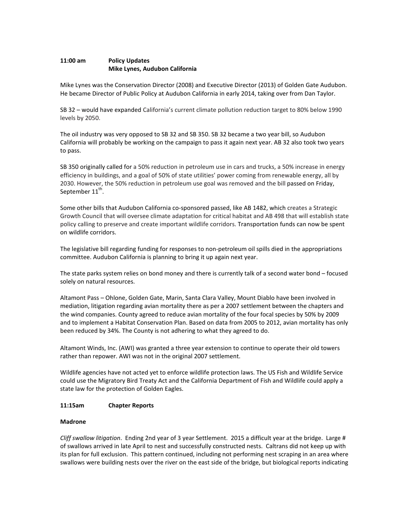# **11:00 am Policy Updates Mike Lynes, Audubon California**

Mike Lynes was the Conservation Director (2008) and Executive Director (2013) of Golden Gate Audubon. He became Director of Public Policy at Audubon California in early 2014, taking over from Dan Taylor.

SB 32 – would have expanded California's current climate pollution reduction target to 80% below 1990 levels by 2050.

The oil industry was very opposed to SB 32 and SB 350. SB 32 became a two year bill, so Audubon California will probably be working on the campaign to pass it again next year. AB 32 also took two years to pass.

SB 350 originally called for a 50% reduction in petroleum use in cars and trucks, a 50% increase in energy efficiency in buildings, and a goal of 50% of state utilities' power coming from renewable energy, all by 2030. However, the 50% reduction in petroleum use goal was removed and the bill passed on Friday, September  $11^{\text{th}}$ .

Some other bills that Audubon California co-sponsored passed, like AB 1482, which creates a Strategic Growth Council that will oversee climate adaptation for critical habitat and AB 498 that will establish state policy calling to preserve and create important wildlife corridors. Transportation funds can now be spent on wildlife corridors.

The legislative bill regarding funding for responses to non-petroleum oil spills died in the appropriations committee. Audubon California is planning to bring it up again next year.

The state parks system relies on bond money and there is currently talk of a second water bond – focused solely on natural resources.

Altamont Pass – Ohlone, Golden Gate, Marin, Santa Clara Valley, Mount Diablo have been involved in mediation, litigation regarding avian mortality there as per a 2007 settlement between the chapters and the wind companies. County agreed to reduce avian mortality of the four focal species by 50% by 2009 and to implement a Habitat Conservation Plan. Based on data from 2005 to 2012, avian mortality has only been reduced by 34%. The County is not adhering to what they agreed to do.

Altamont Winds, Inc. (AWI) was granted a three year extension to continue to operate their old towers rather than repower. AWI was not in the original 2007 settlement.

Wildlife agencies have not acted yet to enforce wildlife protection laws. The US Fish and Wildlife Service could use the Migratory Bird Treaty Act and the California Department of Fish and Wildlife could apply a state law for the protection of Golden Eagles.

### **11:15am Chapter Reports**

### **Madrone**

*Cliff swallow litigation*. Ending 2nd year of 3 year Settlement. 2015 a difficult year at the bridge. Large # of swallows arrived in late April to nest and successfully constructed nests. Caltrans did not keep up with its plan for full exclusion. This pattern continued, including not performing nest scraping in an area where swallows were building nests over the river on the east side of the bridge, but biological reports indicating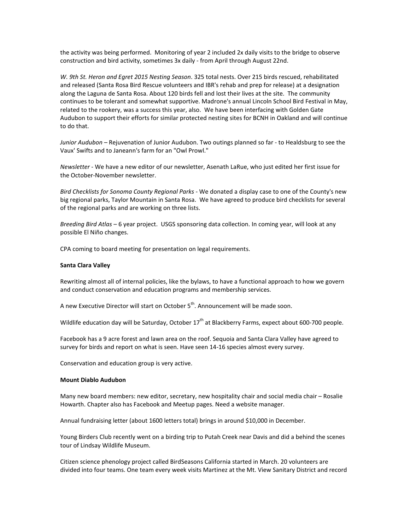the activity was being performed. Monitoring of year 2 included 2x daily visits to the bridge to observe construction and bird activity, sometimes 3x daily - from April through August 22nd.

*W. 9th St. Heron and Egret 2015 Nesting Season*. 325 total nests. Over 215 birds rescued, rehabilitated and released (Santa Rosa Bird Rescue volunteers and IBR's rehab and prep for release) at a designation along the Laguna de Santa Rosa. About 120 birds fell and lost their lives at the site. The community continues to be tolerant and somewhat supportive. Madrone's annual Lincoln School Bird Festival in May, related to the rookery, was a success this year, also. We have been interfacing with Golden Gate Audubon to support their efforts for similar protected nesting sites for BCNH in Oakland and will continue to do that.

*Junior Audubon* – Rejuvenation of Junior Audubon. Two outings planned so far - to Healdsburg to see the Vaux' Swifts and to Janeann's farm for an "Owl Prowl."

*Newsletter* - We have a new editor of our newsletter, Asenath LaRue, who just edited her first issue for the October-November newsletter.

*Bird Checklists for Sonoma County Regional Parks* - We donated a display case to one of the County's new big regional parks, Taylor Mountain in Santa Rosa. We have agreed to produce bird checklists for several of the regional parks and are working on three lists.

*Breeding Bird Atlas* – 6 year project. USGS sponsoring data collection. In coming year, will look at any possible El Niño changes.

CPA coming to board meeting for presentation on legal requirements.

#### **Santa Clara Valley**

Rewriting almost all of internal policies, like the bylaws, to have a functional approach to how we govern and conduct conservation and education programs and membership services.

A new Executive Director will start on October 5<sup>th</sup>. Announcement will be made soon.

Wildlife education day will be Saturday, October  $17<sup>th</sup>$  at Blackberry Farms, expect about 600-700 people.

Facebook has a 9 acre forest and lawn area on the roof. Sequoia and Santa Clara Valley have agreed to survey for birds and report on what is seen. Have seen 14-16 species almost every survey.

Conservation and education group is very active.

#### **Mount Diablo Audubon**

Many new board members: new editor, secretary, new hospitality chair and social media chair – Rosalie Howarth. Chapter also has Facebook and Meetup pages. Need a website manager.

Annual fundraising letter (about 1600 letters total) brings in around \$10,000 in December.

Young Birders Club recently went on a birding trip to Putah Creek near Davis and did a behind the scenes tour of Lindsay Wildlife Museum.

Citizen science phenology project called BirdSeasons California started in March. 20 volunteers are divided into four teams. One team every week visits Martinez at the Mt. View Sanitary District and record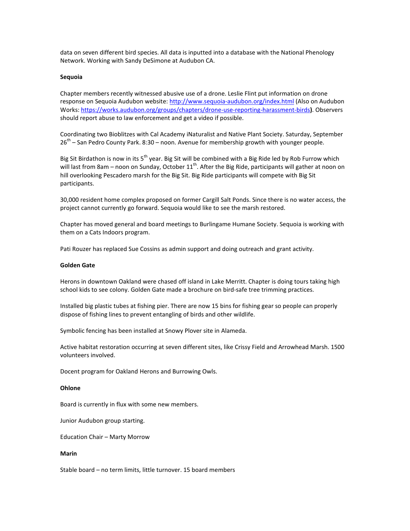data on seven different bird species. All data is inputted into a database with the National Phenology Network. Working with Sandy DeSimone at Audubon CA.

#### **Sequoia**

Chapter members recently witnessed abusive use of a drone. Leslie Flint put information on drone response on Sequoia Audubon website:<http://www.sequoia-audubon.org/index.html> (Also on Audubon Works:<https://works.audubon.org/groups/chapters/drone-use-reporting-harassment-birds>**)**. Observers should report abuse to law enforcement and get a video if possible.

Coordinating two Bioblitzes with Cal Academy iNaturalist and Native Plant Society. Saturday, September  $26<sup>th</sup>$  – San Pedro County Park. 8:30 – noon. Avenue for membership growth with younger people.

Big Sit Birdathon is now in its 5<sup>th</sup> year. Big Sit will be combined with a Big Ride led by Rob Furrow which will last from 8am – noon on Sunday, October  $11^{th}$ . After the Big Ride, participants will gather at noon on hill overlooking Pescadero marsh for the Big Sit. Big Ride participants will compete with Big Sit participants.

30,000 resident home complex proposed on former Cargill Salt Ponds. Since there is no water access, the project cannot currently go forward. Sequoia would like to see the marsh restored.

Chapter has moved general and board meetings to Burlingame Humane Society. Sequoia is working with them on a Cats Indoors program.

Pati Rouzer has replaced Sue Cossins as admin support and doing outreach and grant activity.

#### **Golden Gate**

Herons in downtown Oakland were chased off island in Lake Merritt. Chapter is doing tours taking high school kids to see colony. Golden Gate made a brochure on bird-safe tree trimming practices.

Installed big plastic tubes at fishing pier. There are now 15 bins for fishing gear so people can properly dispose of fishing lines to prevent entangling of birds and other wildlife.

Symbolic fencing has been installed at Snowy Plover site in Alameda.

Active habitat restoration occurring at seven different sites, like Crissy Field and Arrowhead Marsh. 1500 volunteers involved.

Docent program for Oakland Herons and Burrowing Owls.

#### **Ohlone**

Board is currently in flux with some new members.

Junior Audubon group starting.

Education Chair – Marty Morrow

#### **Marin**

Stable board – no term limits, little turnover. 15 board members